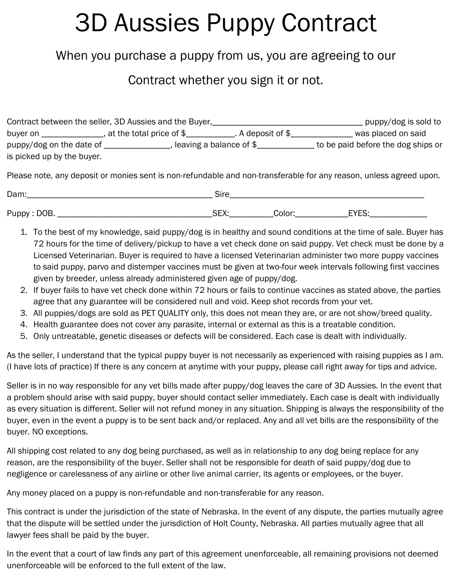## 3D Aussies Puppy Contract

## When you purchase a puppy from us, you are agreeing to our

## Contract whether you sign it or not.

|                            | Contract between the seller, 3D Aussies and the Buyer, |                     | puppy/dog is sold to               |
|----------------------------|--------------------------------------------------------|---------------------|------------------------------------|
| buyer on                   | , at the total price of $\$$                           | . A deposit of $\$$ | was placed on said                 |
| puppy/dog on the date of   | , leaving a balance of $\$$                            |                     | to be paid before the dog ships or |
| is picked up by the buyer. |                                                        |                     |                                    |

Please note, any deposit or monies sent is non-refundable and non-transferable for any reason, unless agreed upon.

| Dam:          | $\cap$ iro<br>סווכ  |        |                  |
|---------------|---------------------|--------|------------------|
| Puppy<br>DOB. | ١mν.<br>. .<br>א∟ت. | Color: | $\Gamma$<br>---- |

- 1. To the best of my knowledge, said puppy/dog is in healthy and sound conditions at the time of sale. Buyer has 72 hours for the time of delivery/pickup to have a vet check done on said puppy. Vet check must be done by a Licensed Veterinarian. Buyer is required to have a licensed Veterinarian administer two more puppy vaccines to said puppy, parvo and distemper vaccines must be given at two-four week intervals following first vaccines given by breeder, unless already administered given age of puppy/dog.
- 2. If buyer fails to have vet check done within 72 hours or fails to continue vaccines as stated above, the parties agree that any guarantee will be considered null and void. Keep shot records from your vet.
- 3. All puppies/dogs are sold as PET QUALITY only, this does not mean they are, or are not show/breed quality.
- 4. Health guarantee does not cover any parasite, internal or external as this is a treatable condition.
- 5. Only untreatable, genetic diseases or defects will be considered. Each case is dealt with individually.

As the seller, I understand that the typical puppy buyer is not necessarily as experienced with raising puppies as I am. (I have lots of practice) If there is any concern at anytime with your puppy, please call right away for tips and advice.

Seller is in no way responsible for any vet bills made after puppy/dog leaves the care of 3D Aussies. In the event that a problem should arise with said puppy, buyer should contact seller immediately. Each case is dealt with individually as every situation is different. Seller will not refund money in any situation. Shipping is always the responsibility of the buyer, even in the event a puppy is to be sent back and/or replaced. Any and all vet bills are the responsibility of the buyer. NO exceptions.

All shipping cost related to any dog being purchased, as well as in relationship to any dog being replace for any reason, are the responsibility of the buyer. Seller shall not be responsible for death of said puppy/dog due to negligence or carelessness of any airline or other live animal carrier, its agents or employees, or the buyer.

Any money placed on a puppy is non-refundable and non-transferable for any reason.

This contract is under the jurisdiction of the state of Nebraska. In the event of any dispute, the parties mutually agree that the dispute will be settled under the jurisdiction of Holt County, Nebraska. All parties mutually agree that all lawyer fees shall be paid by the buyer.

In the event that a court of law finds any part of this agreement unenforceable, all remaining provisions not deemed unenforceable will be enforced to the full extent of the law.